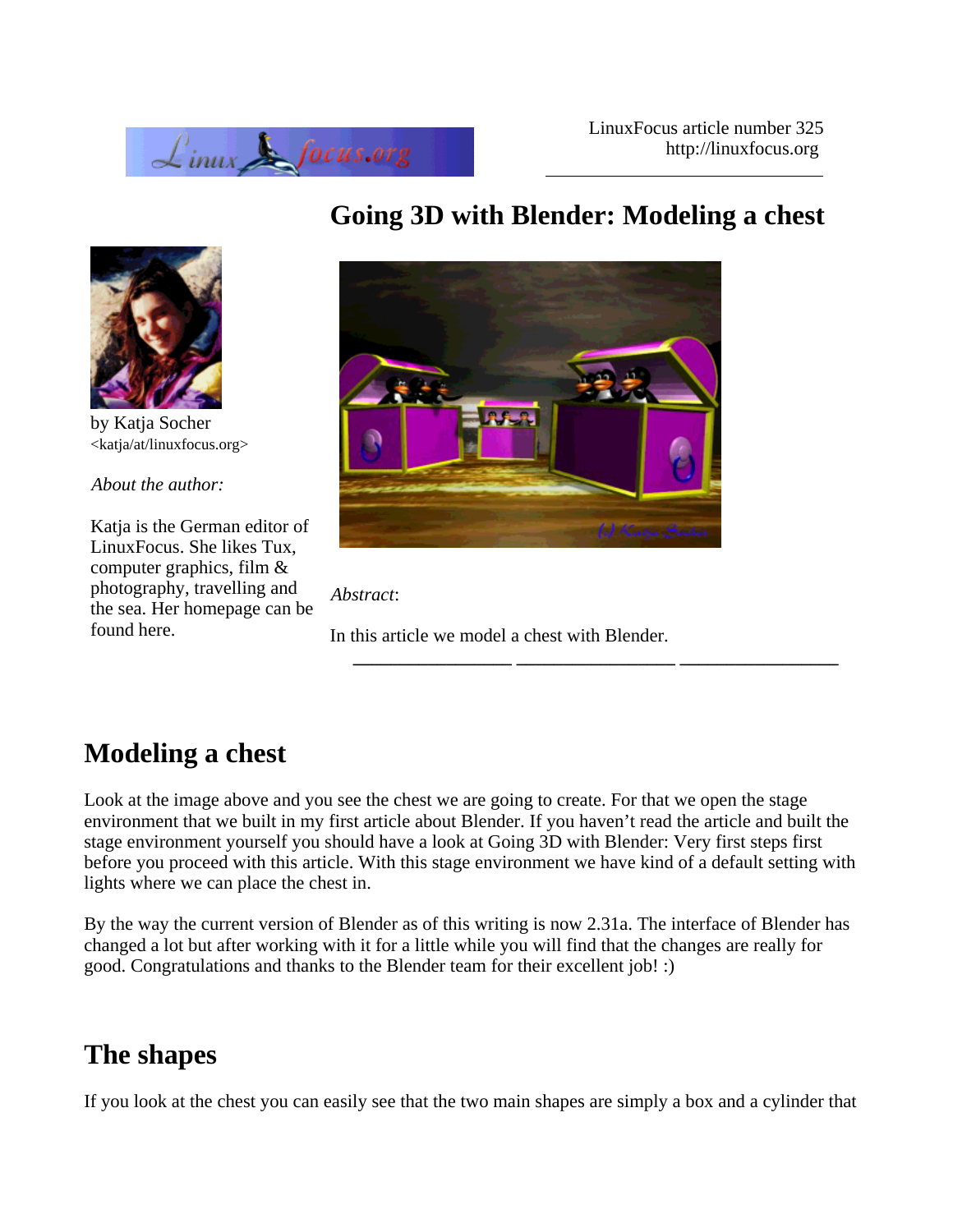



by Katja Socher <katja/at/linuxfocus.org>

*About the author:*

Katja is the German editor of LinuxFocus. She likes Tux, computer graphics, film & photography, travelling and the sea. Her homepage can be found here.



#### *Abstract*:

In this article we model a chest with Blender.

**\_\_\_\_\_\_\_\_\_\_\_\_\_\_\_\_\_ \_\_\_\_\_\_\_\_\_\_\_\_\_\_\_\_\_ \_\_\_\_\_\_\_\_\_\_\_\_\_\_\_\_\_**

## **Modeling a chest**

Look at the image above and you see the chest we are going to create. For that we open the stage environment that we built in my first article about Blender. If you haven't read the article and built the stage environment yourself you should have a look at Going 3D with Blender: Very first steps first before you proceed with this article. With this stage environment we have kind of a default setting with lights where we can place the chest in.

By the way the current version of Blender as of this writing is now 2.31a. The interface of Blender has changed a lot but after working with it for a little while you will find that the changes are really for good. Congratulations and thanks to the Blender team for their excellent job! :)

## **The shapes**

If you look at the chest you can easily see that the two main shapes are simply a box and a cylinder that

# **Going 3D with Blender: Modeling a chest**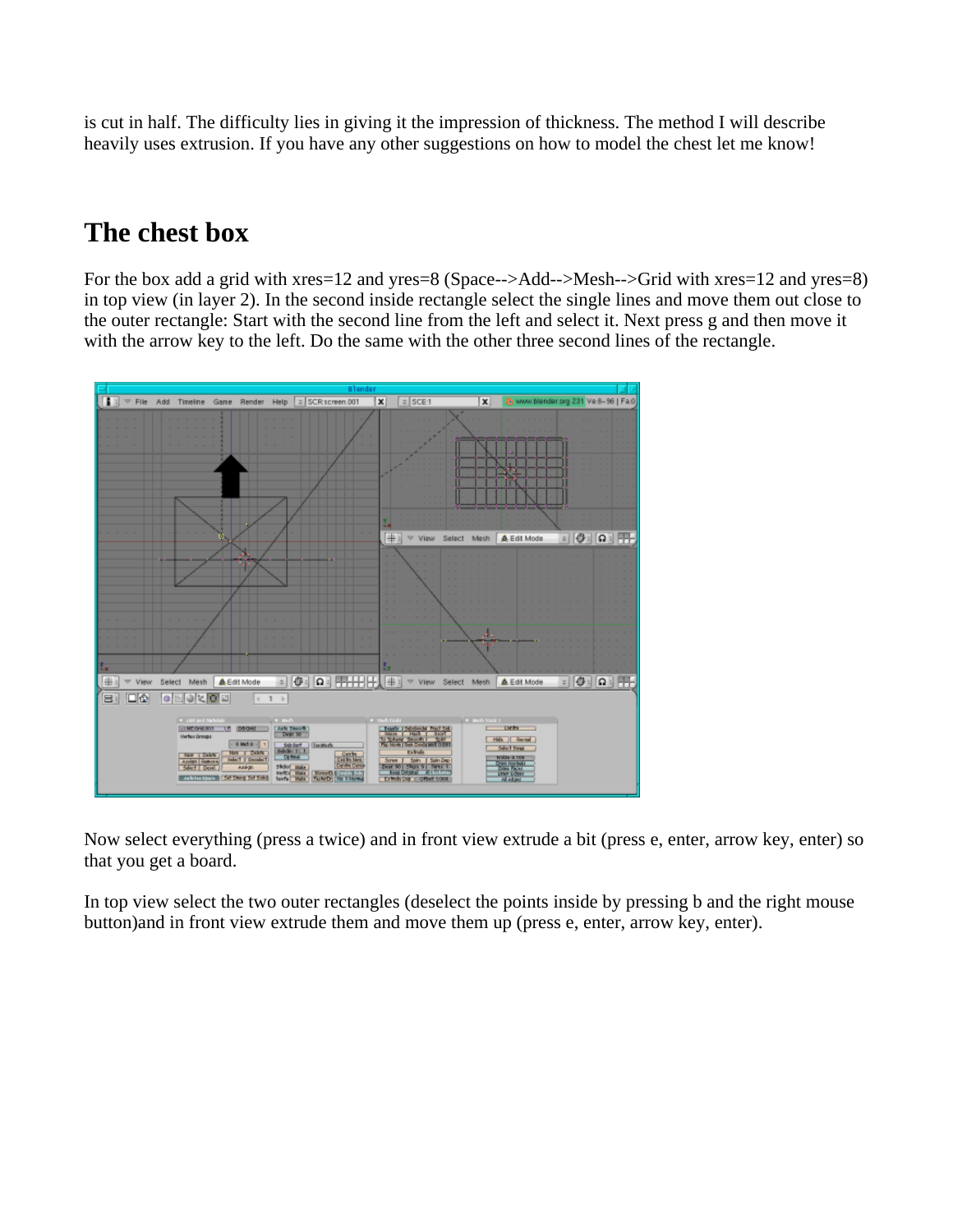is cut in half. The difficulty lies in giving it the impression of thickness. The method I will describe heavily uses extrusion. If you have any other suggestions on how to model the chest let me know!

### **The chest box**

For the box add a grid with xres=12 and yres=8 (Space-->Add-->Mesh-->Grid with xres=12 and yres=8) in top view (in layer 2). In the second inside rectangle select the single lines and move them out close to the outer rectangle: Start with the second line from the left and select it. Next press g and then move it with the arrow key to the left. Do the same with the other three second lines of the rectangle.



Now select everything (press a twice) and in front view extrude a bit (press e, enter, arrow key, enter) so that you get a board.

In top view select the two outer rectangles (deselect the points inside by pressing b and the right mouse button)and in front view extrude them and move them up (press e, enter, arrow key, enter).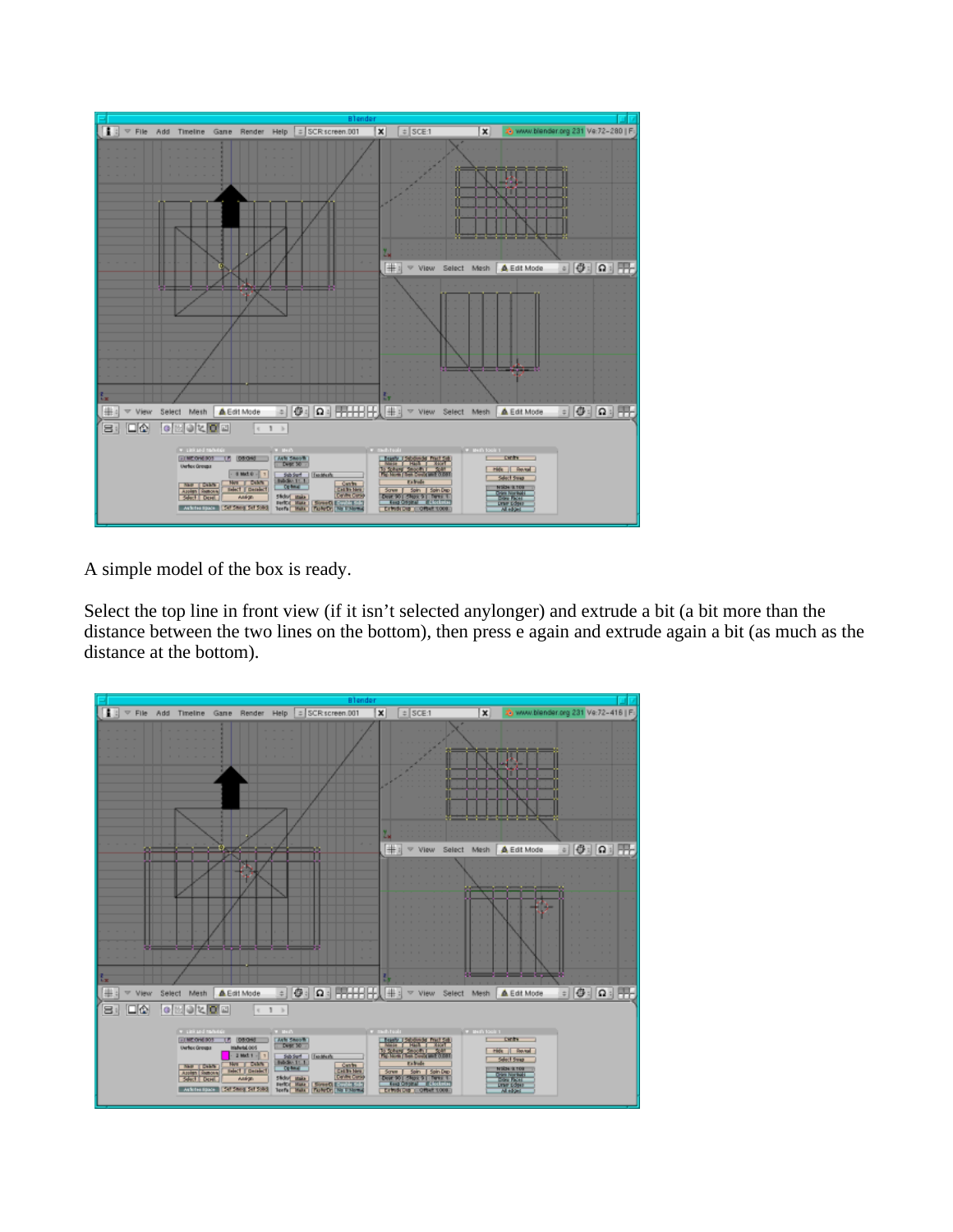

A simple model of the box is ready.

Select the top line in front view (if it isn't selected anylonger) and extrude a bit (a bit more than the distance between the two lines on the bottom), then press e again and extrude again a bit (as much as the distance at the bottom).

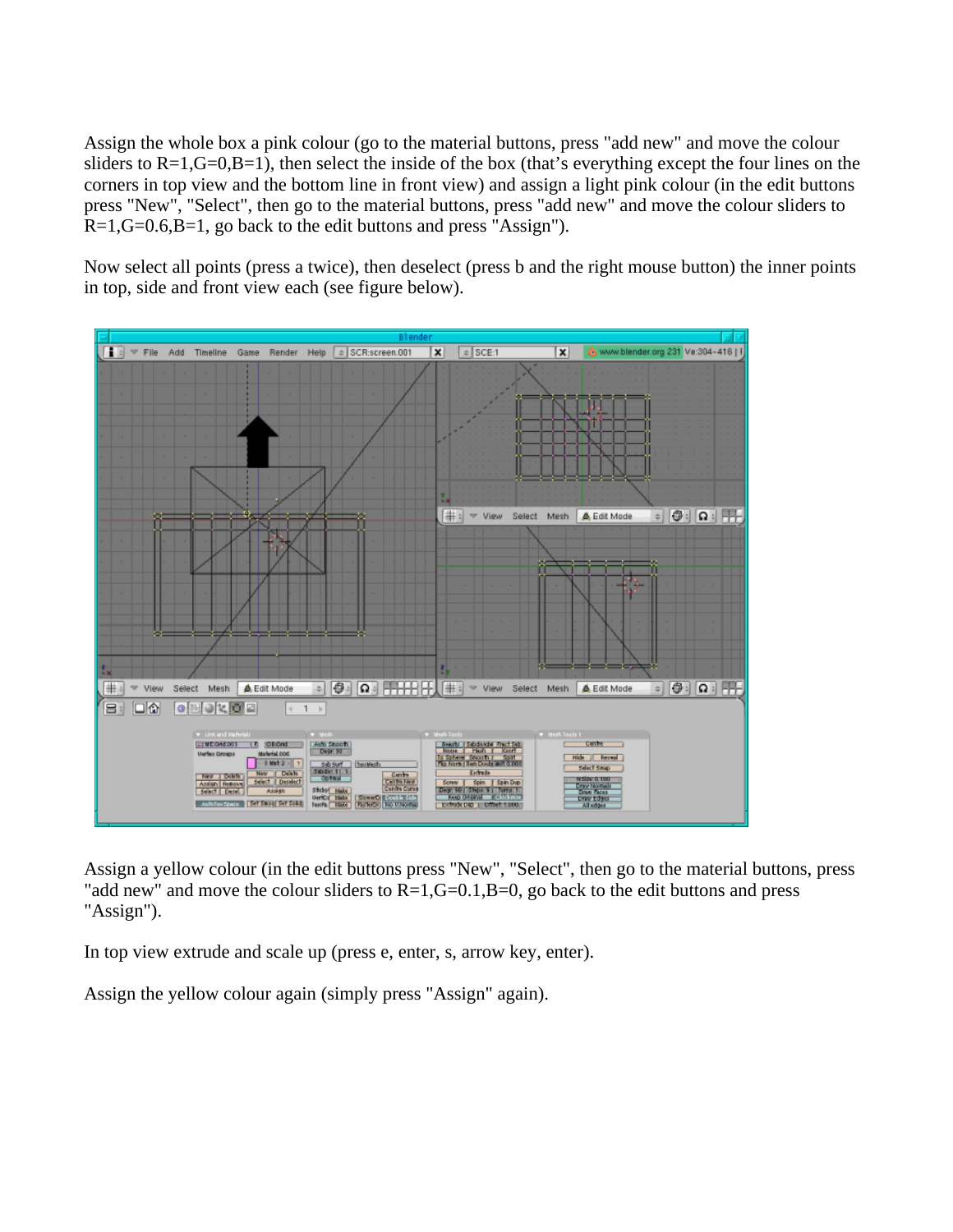Assign the whole box a pink colour (go to the material buttons, press "add new" and move the colour sliders to  $R=1$ ,  $G=0$ ,  $B=1$ ), then select the inside of the box (that's everything except the four lines on the corners in top view and the bottom line in front view) and assign a light pink colour (in the edit buttons press "New", "Select", then go to the material buttons, press "add new" and move the colour sliders to  $R=1$ ,  $G=0.6$ ,  $B=1$ , go back to the edit buttons and press "Assign").

Now select all points (press a twice), then deselect (press b and the right mouse button) the inner points in top, side and front view each (see figure below).



Assign a yellow colour (in the edit buttons press "New", "Select", then go to the material buttons, press "add new" and move the colour sliders to  $R=1$ ,  $G=0.1$ ,  $B=0$ , go back to the edit buttons and press "Assign").

In top view extrude and scale up (press e, enter, s, arrow key, enter).

Assign the yellow colour again (simply press "Assign" again).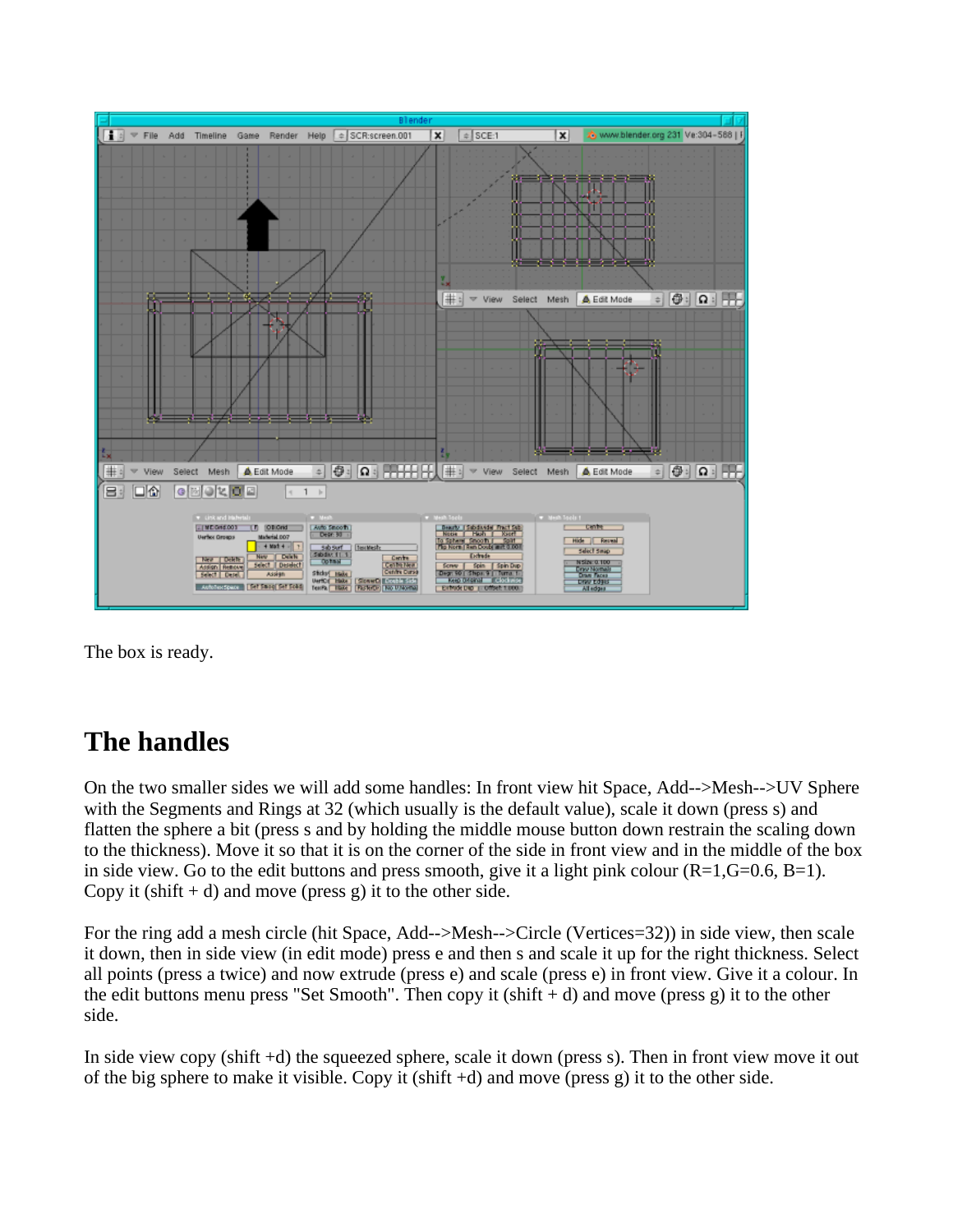

The box is ready.

## **The handles**

On the two smaller sides we will add some handles: In front view hit Space, Add-->Mesh-->UV Sphere with the Segments and Rings at 32 (which usually is the default value), scale it down (press s) and flatten the sphere a bit (press s and by holding the middle mouse button down restrain the scaling down to the thickness). Move it so that it is on the corner of the side in front view and in the middle of the box in side view. Go to the edit buttons and press smooth, give it a light pink colour  $(R=1, G=0.6, B=1)$ . Copy it (shift  $+ d$ ) and move (press g) it to the other side.

For the ring add a mesh circle (hit Space, Add-->Mesh-->Circle (Vertices=32)) in side view, then scale it down, then in side view (in edit mode) press e and then s and scale it up for the right thickness. Select all points (press a twice) and now extrude (press e) and scale (press e) in front view. Give it a colour. In the edit buttons menu press "Set Smooth". Then copy it  $(\text{shift} + d)$  and move (press g) it to the other side.

In side view copy (shift +d) the squeezed sphere, scale it down (press s). Then in front view move it out of the big sphere to make it visible. Copy it (shift +d) and move (press g) it to the other side.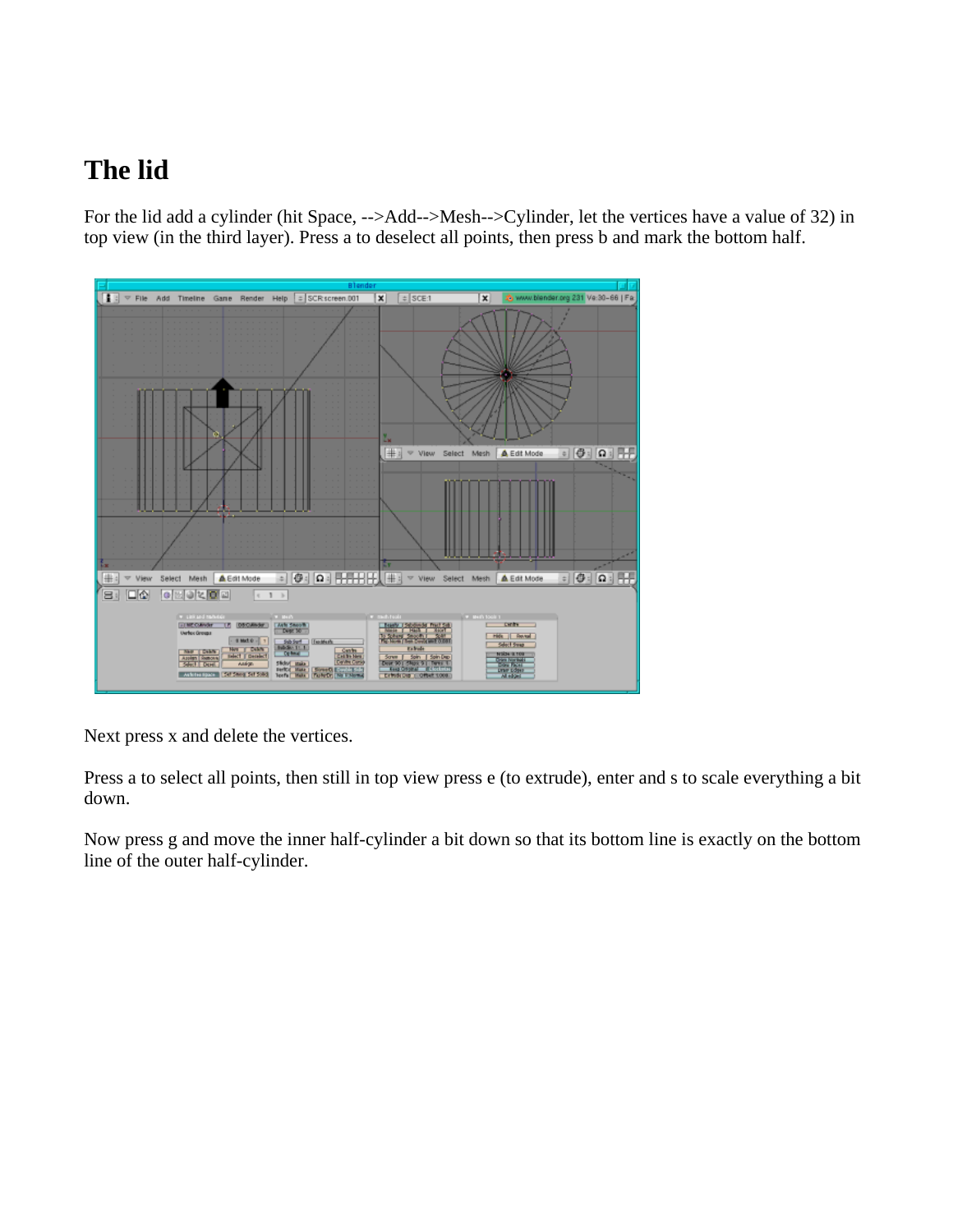# **The lid**

For the lid add a cylinder (hit Space, -->Add-->Mesh-->Cylinder, let the vertices have a value of 32) in top view (in the third layer). Press a to deselect all points, then press b and mark the bottom half.



Next press x and delete the vertices.

Press a to select all points, then still in top view press e (to extrude), enter and s to scale everything a bit down.

Now press g and move the inner half-cylinder a bit down so that its bottom line is exactly on the bottom line of the outer half-cylinder.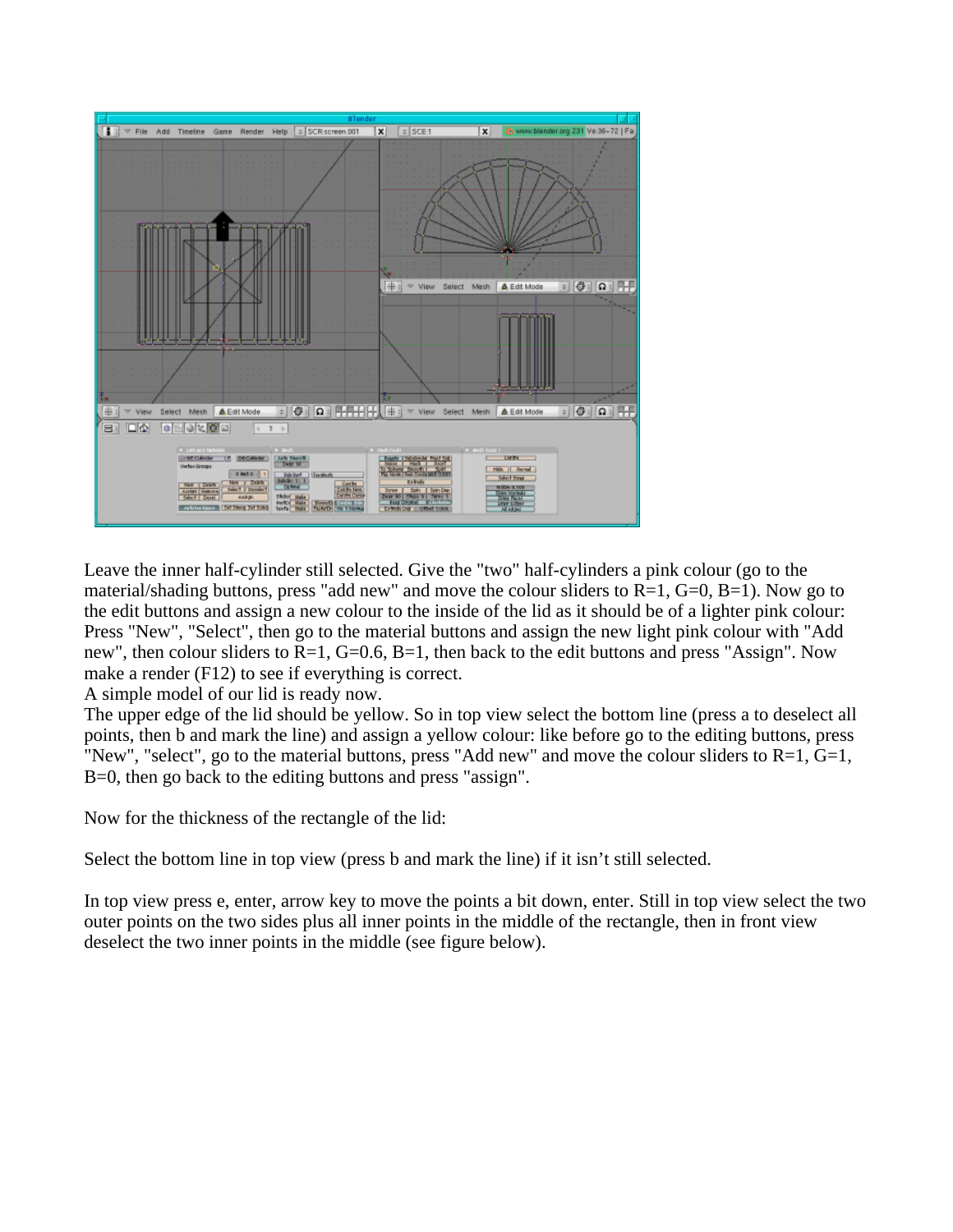

Leave the inner half-cylinder still selected. Give the "two" half-cylinders a pink colour (go to the material/shading buttons, press "add new" and move the colour sliders to  $R=1$ ,  $G=0$ ,  $B=1$ ). Now go to the edit buttons and assign a new colour to the inside of the lid as it should be of a lighter pink colour: Press "New", "Select", then go to the material buttons and assign the new light pink colour with "Add new", then colour sliders to  $R=1$ ,  $G=0.6$ ,  $B=1$ , then back to the edit buttons and press "Assign". Now make a render (F12) to see if everything is correct.

A simple model of our lid is ready now.

The upper edge of the lid should be yellow. So in top view select the bottom line (press a to deselect all points, then b and mark the line) and assign a yellow colour: like before go to the editing buttons, press "New", "select", go to the material buttons, press "Add new" and move the colour sliders to R=1, G=1, B=0, then go back to the editing buttons and press "assign".

Now for the thickness of the rectangle of the lid:

Select the bottom line in top view (press b and mark the line) if it isn't still selected.

In top view press e, enter, arrow key to move the points a bit down, enter. Still in top view select the two outer points on the two sides plus all inner points in the middle of the rectangle, then in front view deselect the two inner points in the middle (see figure below).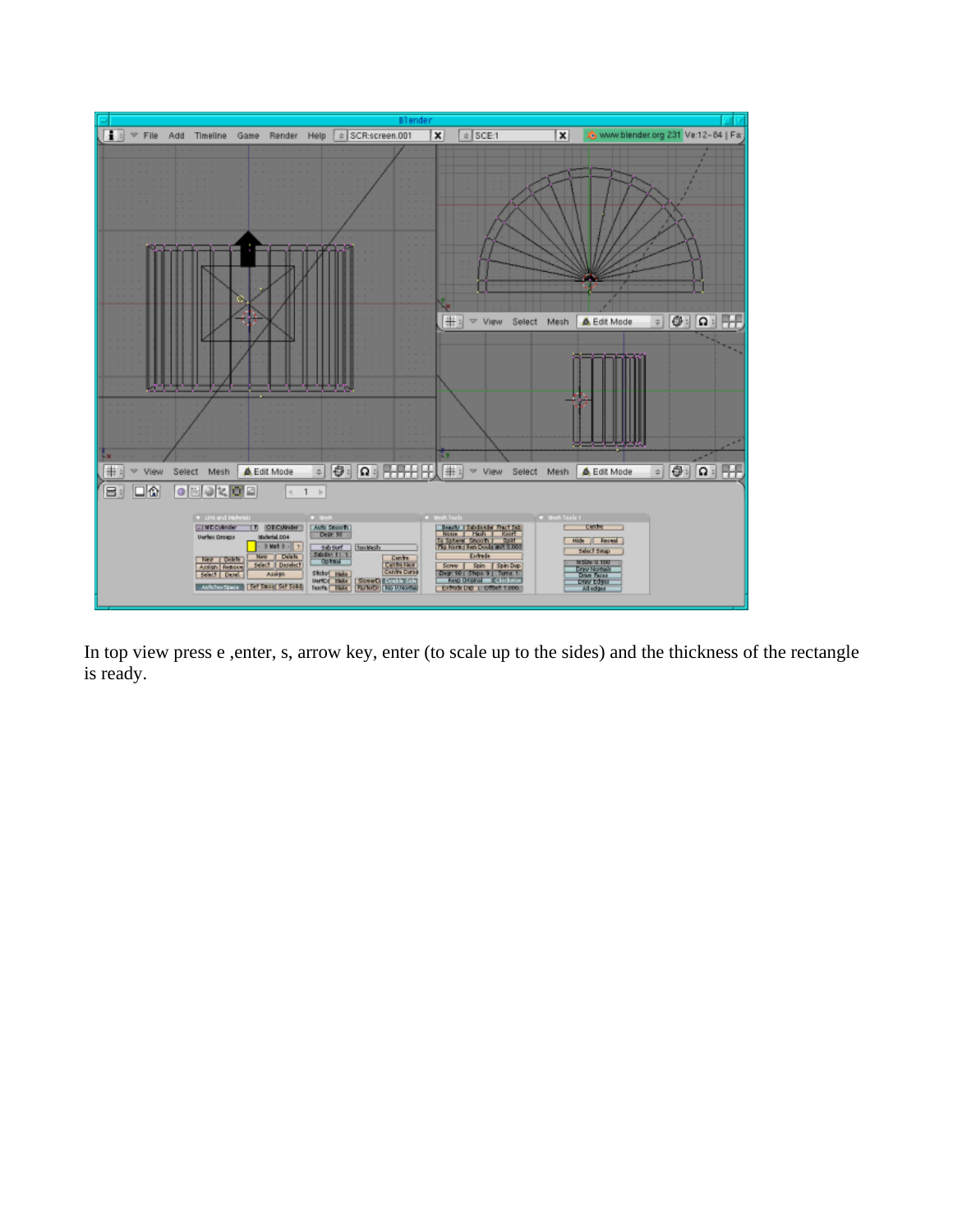

In top view press e ,enter, s, arrow key, enter (to scale up to the sides) and the thickness of the rectangle is ready.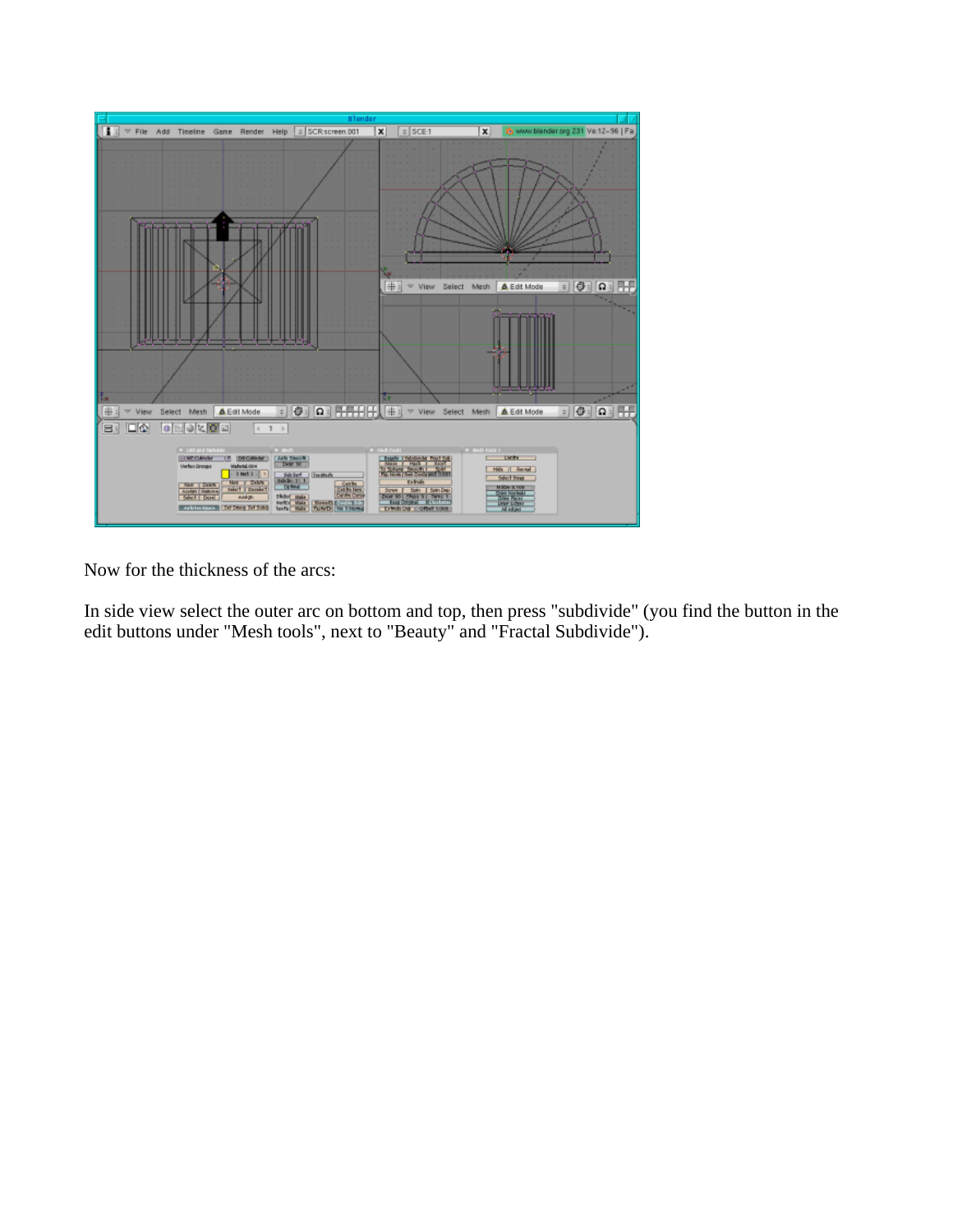

Now for the thickness of the arcs:

In side view select the outer arc on bottom and top, then press "subdivide" (you find the button in the edit buttons under "Mesh tools", next to "Beauty" and "Fractal Subdivide").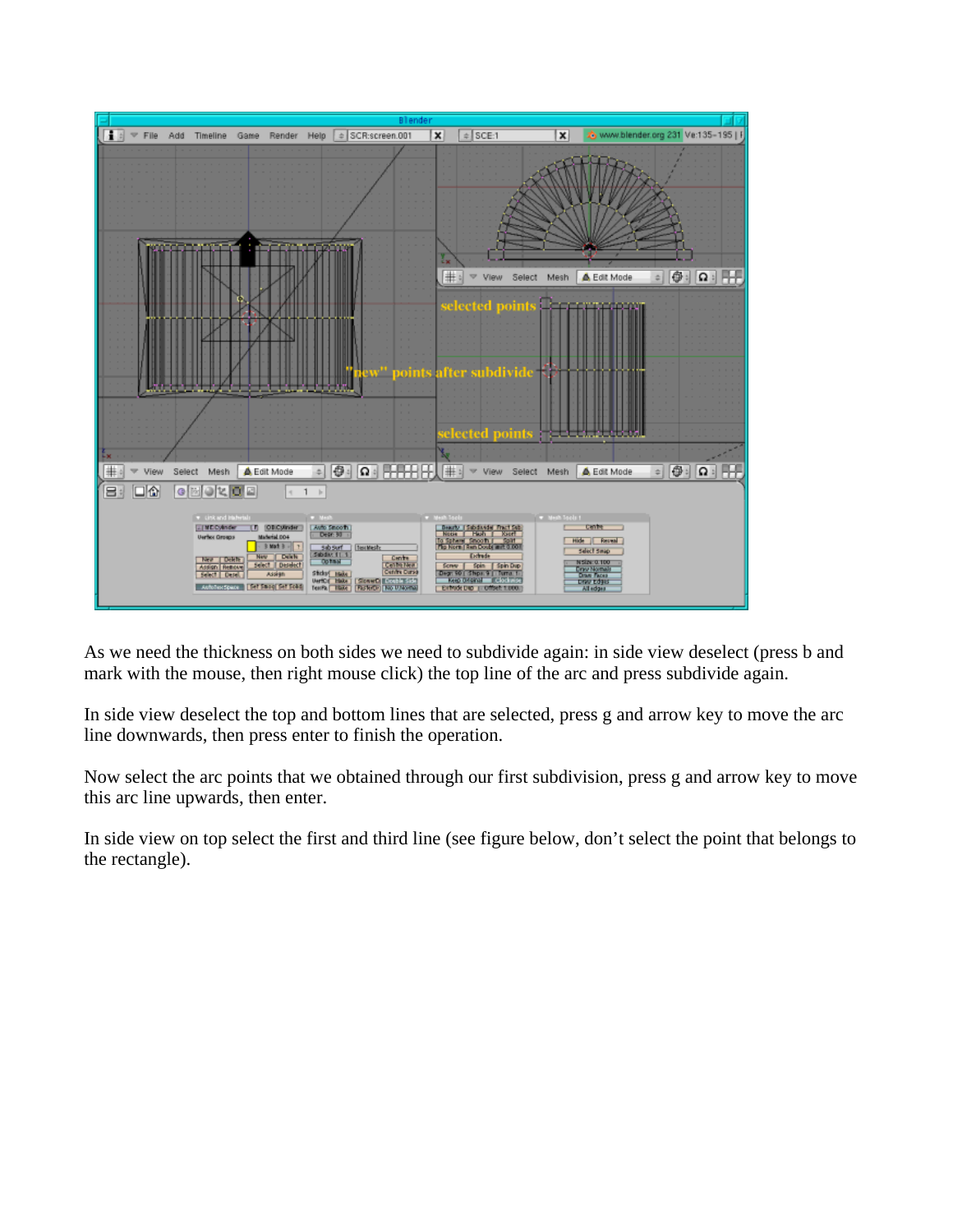

As we need the thickness on both sides we need to subdivide again: in side view deselect (press b and mark with the mouse, then right mouse click) the top line of the arc and press subdivide again.

In side view deselect the top and bottom lines that are selected, press g and arrow key to move the arc line downwards, then press enter to finish the operation.

Now select the arc points that we obtained through our first subdivision, press g and arrow key to move this arc line upwards, then enter.

In side view on top select the first and third line (see figure below, don't select the point that belongs to the rectangle).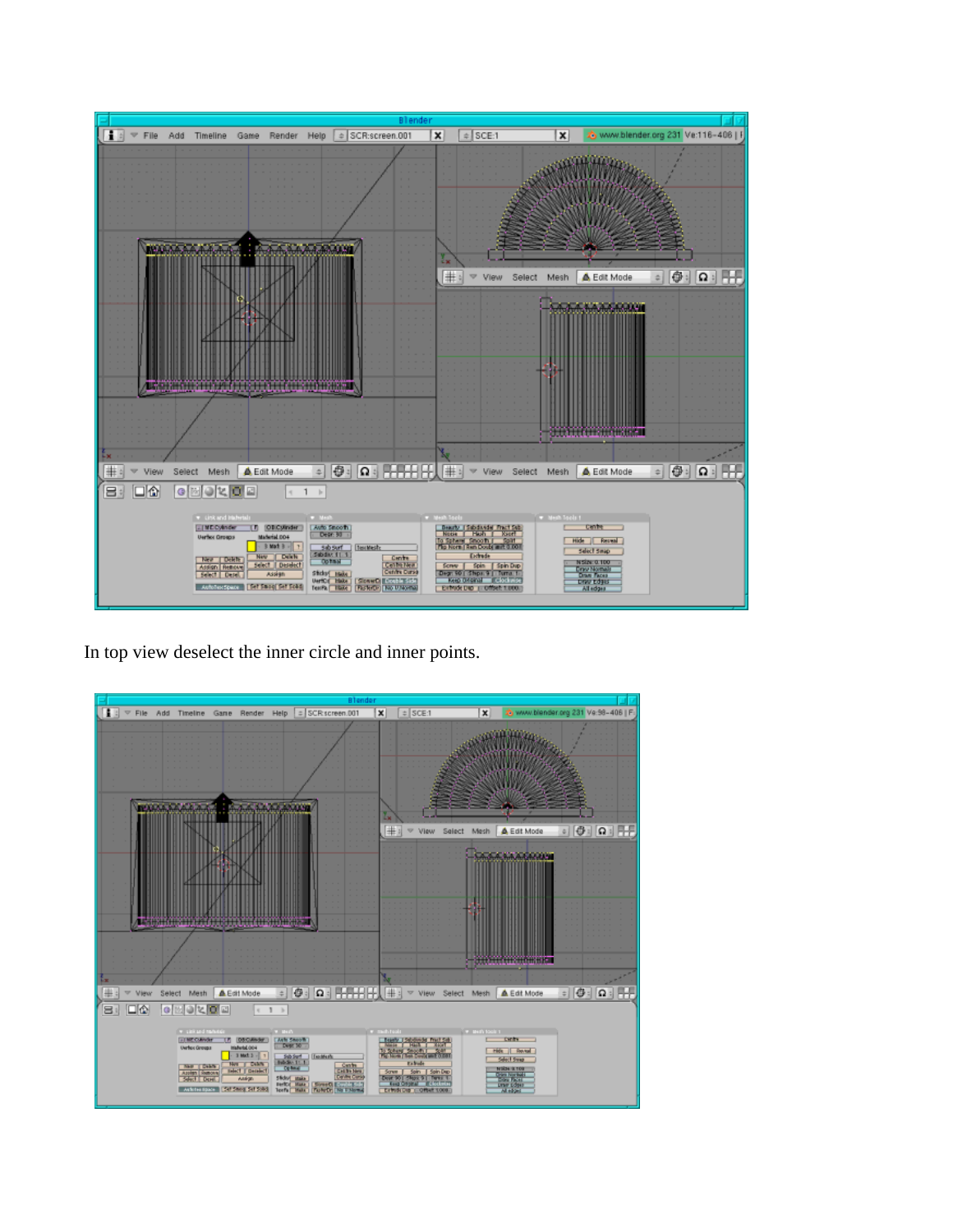

In top view deselect the inner circle and inner points.

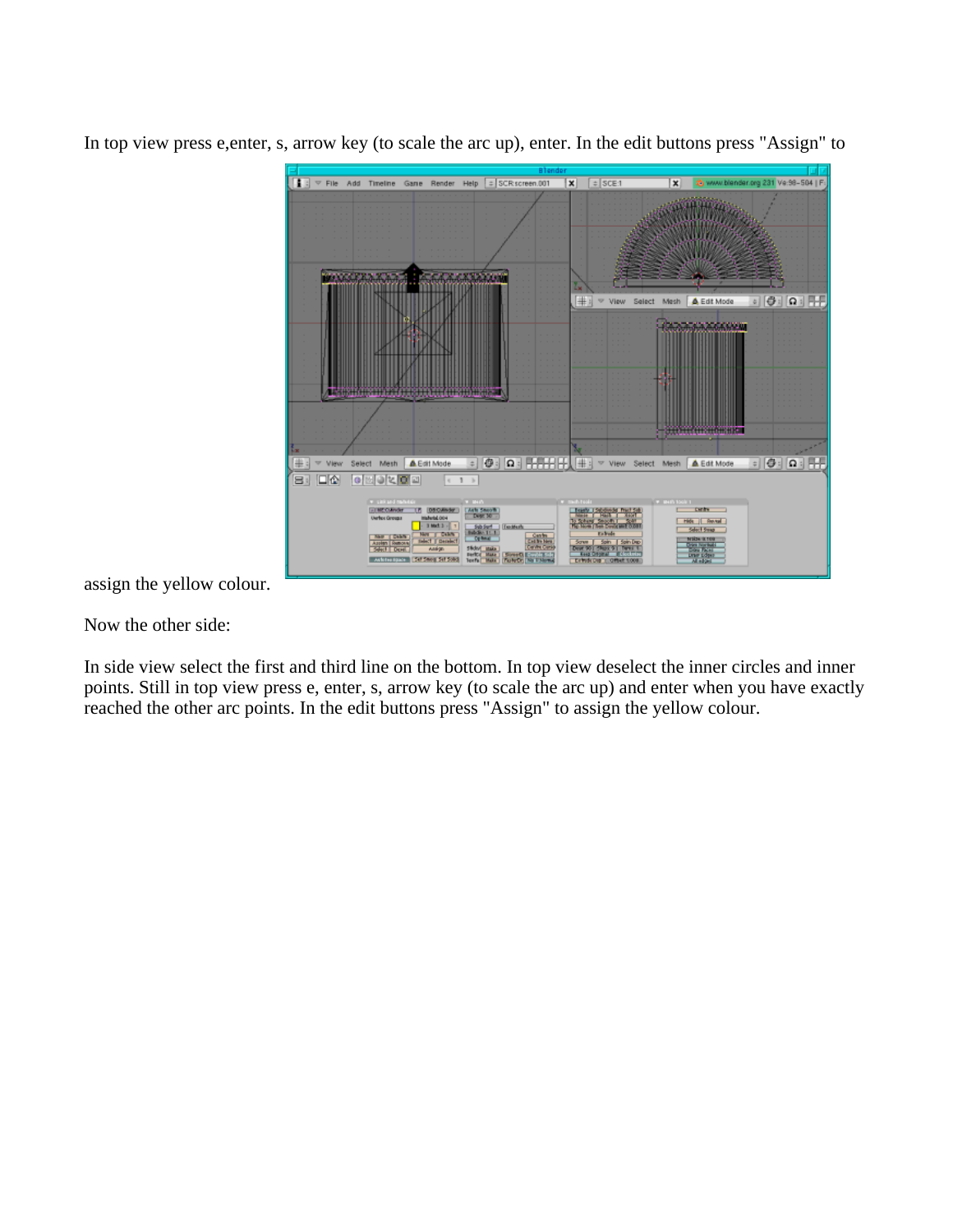

In top view press e,enter, s, arrow key (to scale the arc up), enter. In the edit buttons press "Assign" to

assign the yellow colour.

Now the other side:

In side view select the first and third line on the bottom. In top view deselect the inner circles and inner points. Still in top view press e, enter, s, arrow key (to scale the arc up) and enter when you have exactly reached the other arc points. In the edit buttons press "Assign" to assign the yellow colour.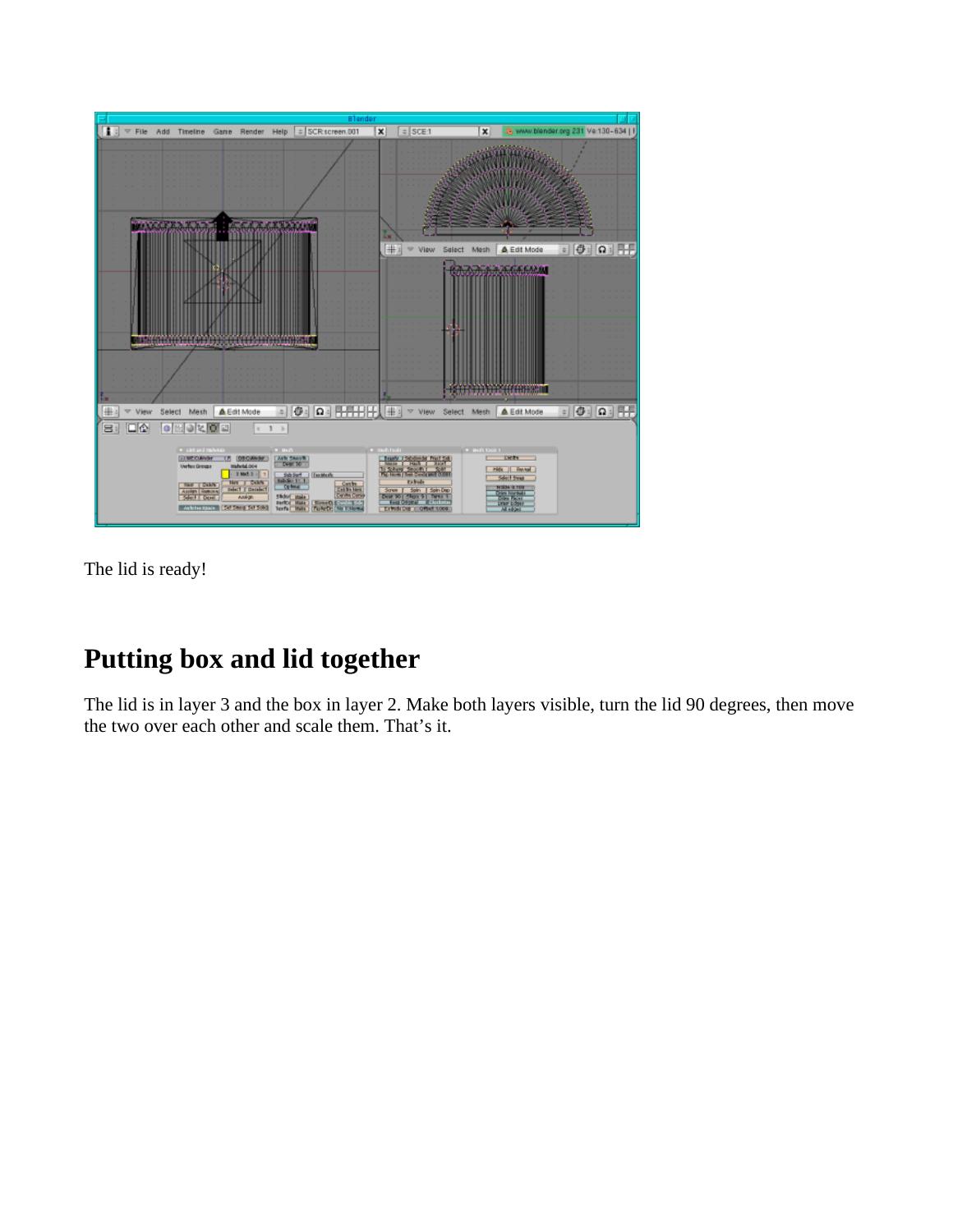

The lid is ready!

# **Putting box and lid together**

The lid is in layer 3 and the box in layer 2. Make both layers visible, turn the lid 90 degrees, then move the two over each other and scale them. That's it.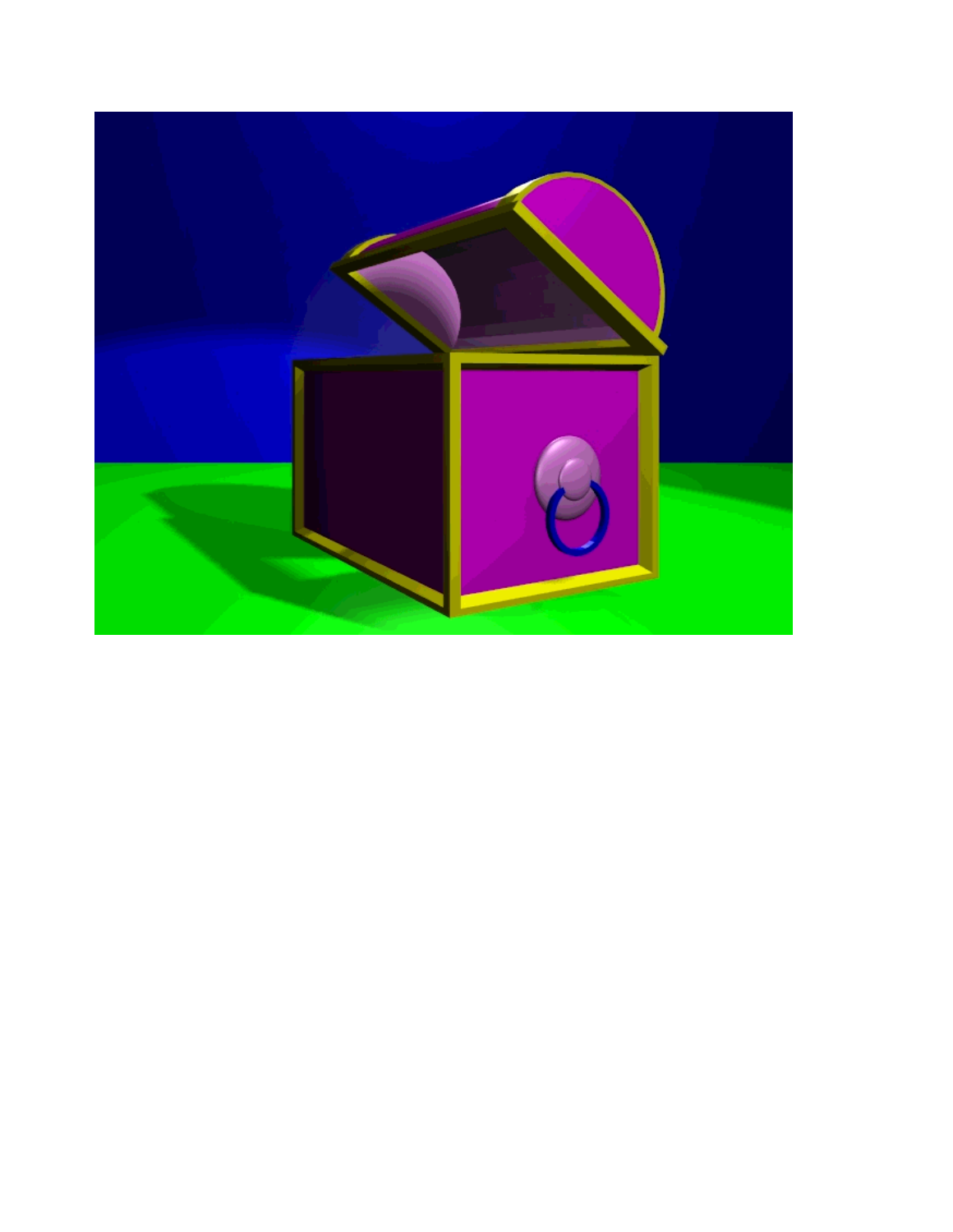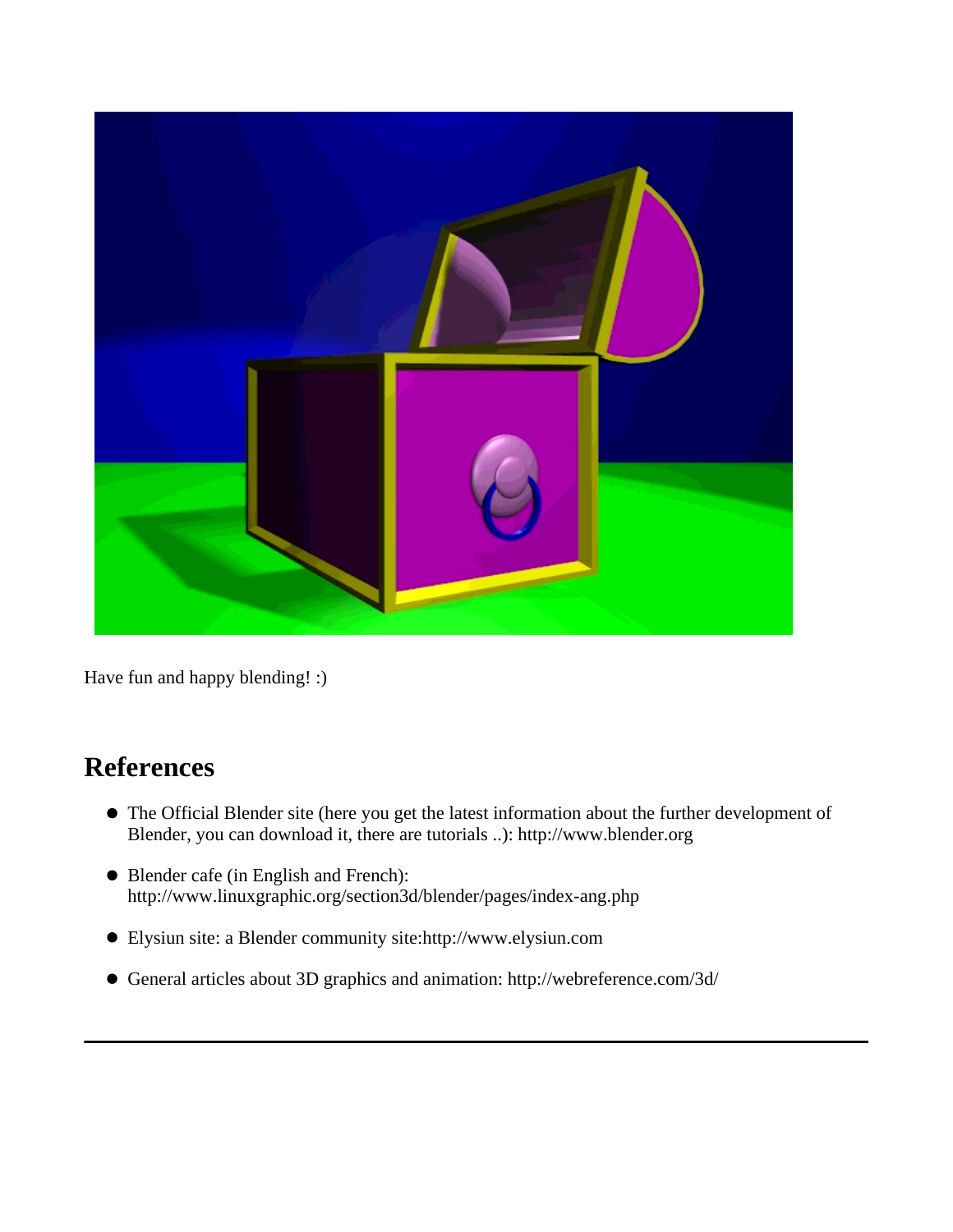

Have fun and happy blending! :)

# **References**

- The Official Blender site (here you get the latest information about the further development of Blender, you can download it, there are tutorials ..): http://www.blender.org
- Blender cafe (in English and French): http://www.linuxgraphic.org/section3d/blender/pages/index-ang.php
- Elysiun site: a Blender community site:http://www.elysiun.com
- General articles about 3D graphics and animation: http://webreference.com/3d/